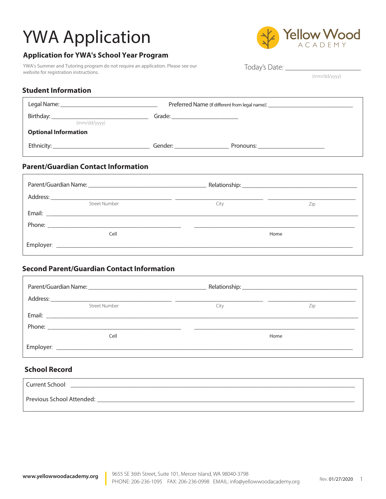# YWA Application AcADEMY

### **Application for YWA's School Year Program**

YWA's Summer and Tutoring program do not require an application. Please see our website for registration instructions.



Today's Date:

(mm/dd/yyyy)

#### **Student Information**

| Preferred Name (If different from legal name): _________________________________ |                                                                                                                                                                                                                                |                                       |
|----------------------------------------------------------------------------------|--------------------------------------------------------------------------------------------------------------------------------------------------------------------------------------------------------------------------------|---------------------------------------|
| (mm/dd/yyyy)                                                                     |                                                                                                                                                                                                                                |                                       |
| <b>Optional Information</b>                                                      |                                                                                                                                                                                                                                |                                       |
|                                                                                  | Gender: when the control of the control of the control of the control of the control of the control of the control of the control of the control of the control of the control of the control of the control of the control of | Pronouns: ___________________________ |

#### **Parent/Guardian Contact Information**

| <b>Street Number</b> | City | Zip  |
|----------------------|------|------|
|                      |      |      |
|                      |      |      |
| Cell                 |      | Home |
|                      |      |      |

#### **Second Parent/Guardian Contact Information**

| <b>Street Number</b>                                                                                                                                                                                                          | City | Zip  |
|-------------------------------------------------------------------------------------------------------------------------------------------------------------------------------------------------------------------------------|------|------|
|                                                                                                                                                                                                                               |      |      |
|                                                                                                                                                                                                                               |      |      |
| Cell                                                                                                                                                                                                                          |      | Home |
| Employer: the contract of the contract of the contract of the contract of the contract of the contract of the contract of the contract of the contract of the contract of the contract of the contract of the contract of the |      |      |

#### **School Record**

| Current School:           |  |
|---------------------------|--|
| Previous School Attended: |  |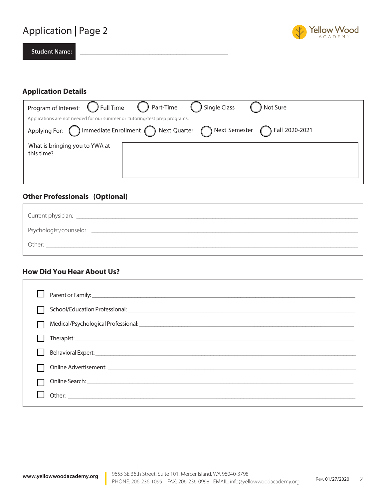## Application | Page 2



2

**Student Name:** \_\_\_\_\_\_\_\_\_\_\_\_\_\_\_\_\_\_\_\_\_\_\_\_\_\_\_\_\_\_\_\_\_\_\_\_\_\_\_\_\_\_\_\_\_\_\_\_\_

#### **Application Details**

|                                                                            | Program of Interest: ( ) Full Time ( ) Part-Time ( ) Single Class<br>) Not Sure                                      |
|----------------------------------------------------------------------------|----------------------------------------------------------------------------------------------------------------------|
| Applications are not needed for our summer or tutoring/test prep programs. |                                                                                                                      |
|                                                                            | Applying For: $\bigcap$ Immediate Enrollment $\bigcap$ Next Quarter $\bigcap$ Next Semester $\bigcap$ Fall 2020-2021 |
| What is bringing you to YWA at<br>this time?                               |                                                                                                                      |

### **Other Professionals (Optional)**

| Psychologist/counselor: |
|-------------------------|
| Other:                  |

#### **How Did You Hear About Us?**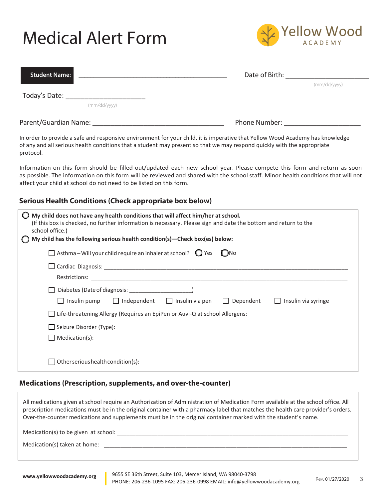# Medical Alert Form



| <b>Student Name:</b>                                                                                                                                                                                                                                                  | Date of Birth: |              |
|-----------------------------------------------------------------------------------------------------------------------------------------------------------------------------------------------------------------------------------------------------------------------|----------------|--------------|
| Today's Date:<br>(mm/dd/yyyy)                                                                                                                                                                                                                                         |                | (mm/dd/yyyy) |
| Parent/Guardian Name: 1988                                                                                                                                                                                                                                            | Phone Number:  |              |
| In order to provide a safe and responsive environment for your child, it is imperative that Yellow Wood Academy has knowledge<br>of any and all serious health conditions that a student may present so that we may respond quickly with the appropriate<br>protocol. |                |              |
| Information on this form should be filled out/updated each new school year. Please compete this form and return as soon<br>as possible. The information on this form will be reviewed and shared with the school staff. Minor health conditions that will not         |                |              |

#### **Serious Health Conditions (Check appropriate box below)**

affect your child at school do not need to be listed on this form.

| My child does not have any health conditions that will affect him/her at school.<br>(If this box is checked, no further information is necessary. Please sign and date the bottom and return to the<br>school office.)<br>My child has the following serious health condition(s)-Check box(es) below: |
|-------------------------------------------------------------------------------------------------------------------------------------------------------------------------------------------------------------------------------------------------------------------------------------------------------|
| $\Box$ Asthma – Will your child require an inhaler at school? $\bigcirc$ Yes<br>( )No                                                                                                                                                                                                                 |
|                                                                                                                                                                                                                                                                                                       |
|                                                                                                                                                                                                                                                                                                       |
| $\Box$ Insulin pump $\Box$ Independent $\Box$ Insulin via pen<br>$\Box$ Dependent<br>Insulin via syringe<br>$\perp$                                                                                                                                                                                   |
| $\Box$ Life-threatening Allergy (Requires an EpiPen or Auvi-Q at school Allergens:                                                                                                                                                                                                                    |
| $\Box$ Seizure Disorder (Type):                                                                                                                                                                                                                                                                       |
| $\Box$ Medication(s):                                                                                                                                                                                                                                                                                 |
| Other serious health condition(s):                                                                                                                                                                                                                                                                    |

#### **Medications (Prescription, supplements, and over-the-counter)**

All medications given at school require an Authorization of Administration of Medication Form available at the school office. All prescription medications must be in the original container with a pharmacy label that matches the health care provider's orders. Over-the-counter medications and supplements must be in the original container marked with the student's name.  $Median(s)$  to be given at school: Medication(s) taken at home: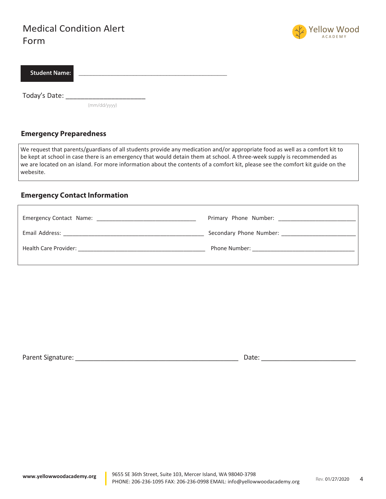### Medical Condition Alert Form



| Student Name: I |  |
|-----------------|--|
|                 |  |

Today's Date: \_\_\_\_\_\_\_\_\_\_\_\_\_\_\_\_\_\_\_\_\_

(mm/dd/yyyy)

#### **Emergency Preparedness**

We request that parents/guardians of all students provide any medication and/or appropriate food as well as a comfort kit to be kept at school in case there is an emergency that would detain them at school. A three-week supply is recommended as we are located on an island. For more information about the contents of a comfort kit, please see the comfort kit guide on the webesite.

#### **Emergency Contact Information**

|                       | Primary Phone Number:   |
|-----------------------|-------------------------|
| Email Address:        | Secondary Phone Number: |
| Health Care Provider: | Phone Number:           |

Parent Signature: \_\_\_\_\_\_\_\_\_\_\_\_\_\_\_\_\_\_\_\_\_\_\_\_\_\_\_\_\_\_\_\_\_\_\_\_\_\_\_\_\_\_\_\_\_ Date: \_\_\_\_\_\_\_\_\_\_\_\_\_\_\_\_\_\_\_\_\_\_\_\_\_\_